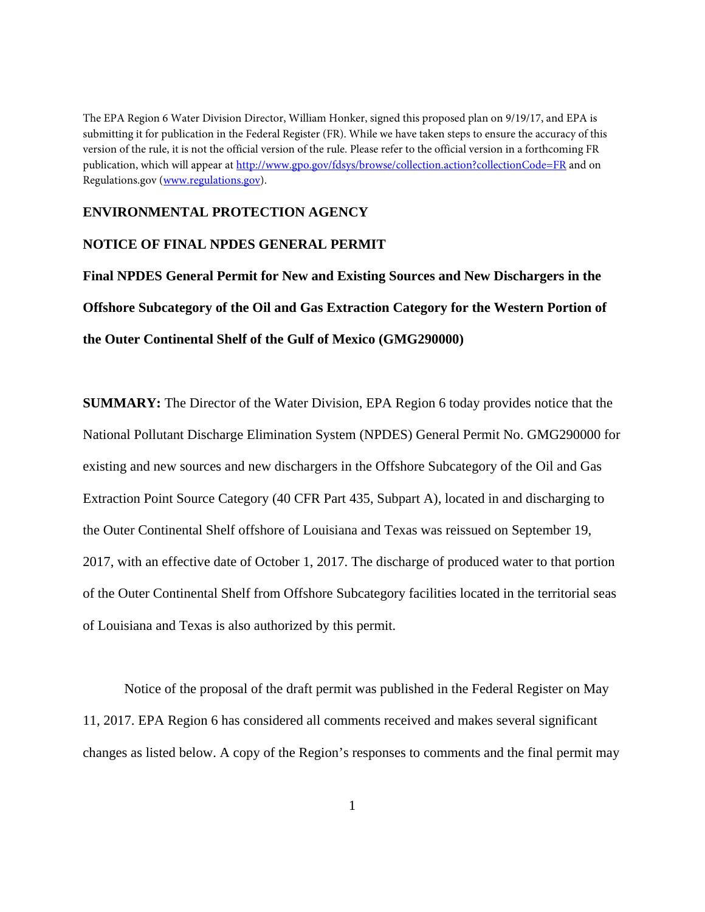The EPA Region 6 Water Division Director, William Honker, signed this proposed plan on 9/19/17, and EPA is submitting it for publication in the Federal Register (FR). While we have taken steps to ensure the accuracy of this version of the rule, it is not the official version of the rule. Please refer to the official version in a forthcoming FR publication, which will appear at http://www.gpo.gov/fdsys/browse/collection.action?collectionCode=FR and on Regulations.gov (www.regulations.gov).

## **ENVIRONMENTAL PROTECTION AGENCY**

## **NOTICE OF FINAL NPDES GENERAL PERMIT**

**Final NPDES General Permit for New and Existing Sources and New Dischargers in the Offshore Subcategory of the Oil and Gas Extraction Category for the Western Portion of the Outer Continental Shelf of the Gulf of Mexico (GMG290000)**

**SUMMARY:** The Director of the Water Division, EPA Region 6 today provides notice that the National Pollutant Discharge Elimination System (NPDES) General Permit No. GMG290000 for existing and new sources and new dischargers in the Offshore Subcategory of the Oil and Gas Extraction Point Source Category (40 CFR Part 435, Subpart A), located in and discharging to the Outer Continental Shelf offshore of Louisiana and Texas was reissued on September 19, 2017, with an effective date of October 1, 2017. The discharge of produced water to that portion of the Outer Continental Shelf from Offshore Subcategory facilities located in the territorial seas of Louisiana and Texas is also authorized by this permit.

 Notice of the proposal of the draft permit was published in the Federal Register on May 11, 2017. EPA Region 6 has considered all comments received and makes several significant changes as listed below. A copy of the Region's responses to comments and the final permit may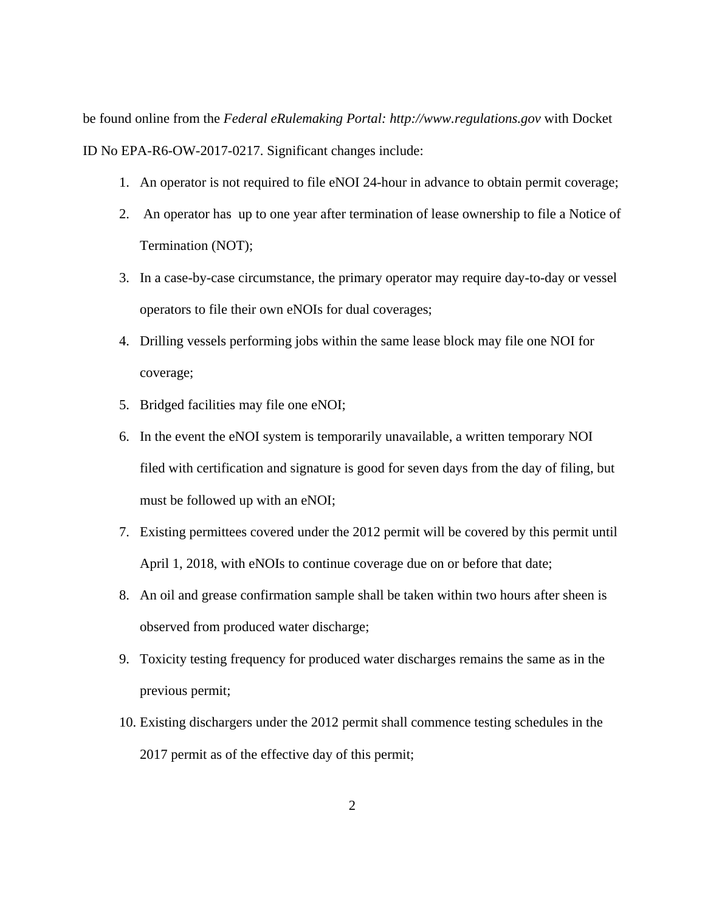be found online from the *Federal eRulemaking Portal: http://www.regulations.gov* with Docket ID No EPA-R6-OW-2017-0217. Significant changes include:

- 1. An operator is not required to file eNOI 24-hour in advance to obtain permit coverage;
- 2. An operator has up to one year after termination of lease ownership to file a Notice of Termination (NOT);
- 3. In a case-by-case circumstance, the primary operator may require day-to-day or vessel operators to file their own eNOIs for dual coverages;
- 4. Drilling vessels performing jobs within the same lease block may file one NOI for coverage;
- 5. Bridged facilities may file one eNOI;
- 6. In the event the eNOI system is temporarily unavailable, a written temporary NOI filed with certification and signature is good for seven days from the day of filing, but must be followed up with an eNOI;
- 7. Existing permittees covered under the 2012 permit will be covered by this permit until April 1, 2018, with eNOIs to continue coverage due on or before that date;
- 8. An oil and grease confirmation sample shall be taken within two hours after sheen is observed from produced water discharge;
- 9. Toxicity testing frequency for produced water discharges remains the same as in the previous permit;
- 10. Existing dischargers under the 2012 permit shall commence testing schedules in the 2017 permit as of the effective day of this permit;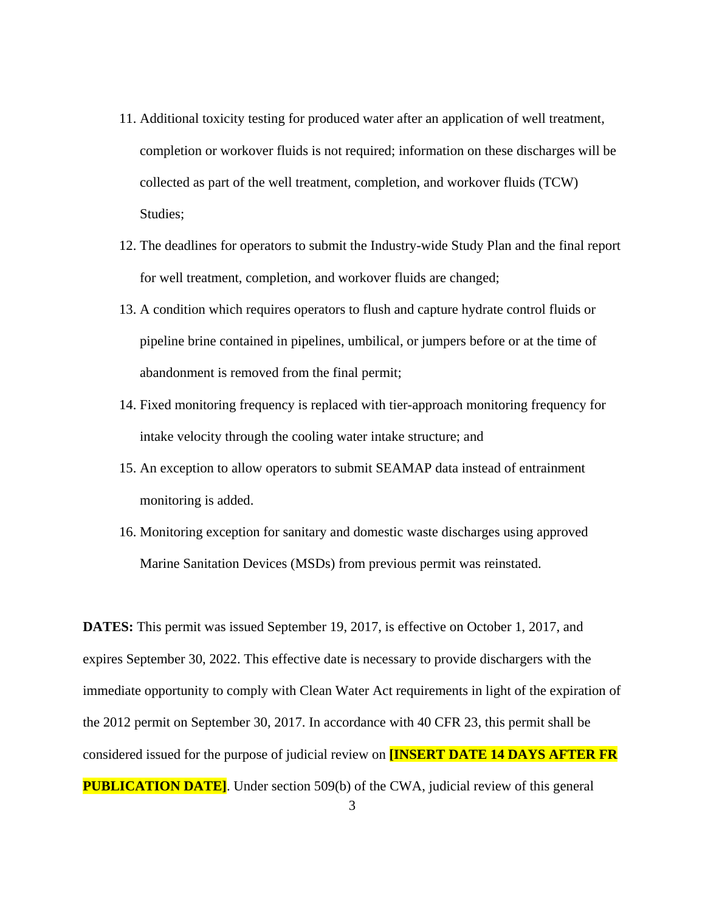- 11. Additional toxicity testing for produced water after an application of well treatment, completion or workover fluids is not required; information on these discharges will be collected as part of the well treatment, completion, and workover fluids (TCW) Studies;
- 12. The deadlines for operators to submit the Industry-wide Study Plan and the final report for well treatment, completion, and workover fluids are changed;
- 13. A condition which requires operators to flush and capture hydrate control fluids or pipeline brine contained in pipelines, umbilical, or jumpers before or at the time of abandonment is removed from the final permit;
- 14. Fixed monitoring frequency is replaced with tier-approach monitoring frequency for intake velocity through the cooling water intake structure; and
- 15. An exception to allow operators to submit SEAMAP data instead of entrainment monitoring is added.
- 16. Monitoring exception for sanitary and domestic waste discharges using approved Marine Sanitation Devices (MSDs) from previous permit was reinstated.

**DATES:** This permit was issued September 19, 2017, is effective on October 1, 2017, and expires September 30, 2022. This effective date is necessary to provide dischargers with the immediate opportunity to comply with Clean Water Act requirements in light of the expiration of the 2012 permit on September 30, 2017. In accordance with 40 CFR 23, this permit shall be considered issued for the purpose of judicial review on **[INSERT DATE 14 DAYS AFTER FR PUBLICATION DATE]**. Under section 509(b) of the CWA, judicial review of this general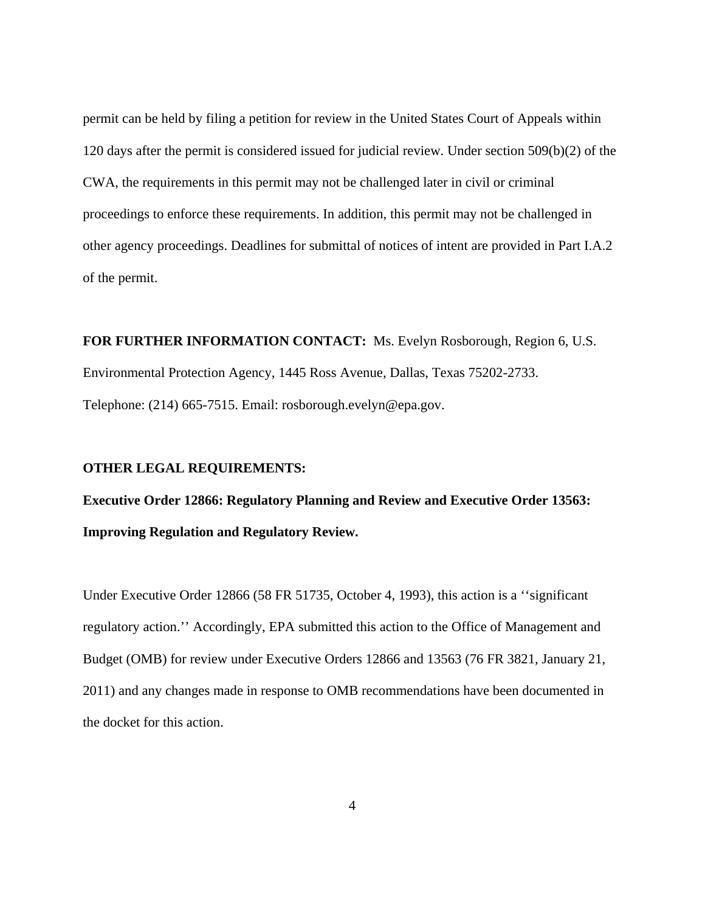permit can be held by filing a petition for review in the United States Court of Appeals within 120 days after the permit is considered issued for judicial review. Under section 509(b)(2) of the CWA, the requirements in this permit may not be challenged later in civil or criminal proceedings to enforce these requirements. In addition, this permit may not be challenged in other agency proceedings. Deadlines for submittal of notices of intent are provided in Part I.A.2 of the permit.

**FOR FURTHER INFORMATION CONTACT:** Ms. Evelyn Rosborough, Region 6, U.S. Environmental Protection Agency, 1445 Ross Avenue, Dallas, Texas 75202-2733. Telephone: (214) 665-7515. Email: rosborough.evelyn@epa.gov.

## **OTHER LEGAL REQUIREMENTS:**

**Executive Order 12866: Regulatory Planning and Review and Executive Order 13563: Improving Regulation and Regulatory Review.** 

Under Executive Order 12866 (58 FR 51735, October 4, 1993), this action is a ''significant regulatory action.'' Accordingly, EPA submitted this action to the Office of Management and Budget (OMB) for review under Executive Orders 12866 and 13563 (76 FR 3821, January 21, 2011) and any changes made in response to OMB recommendations have been documented in the docket for this action.